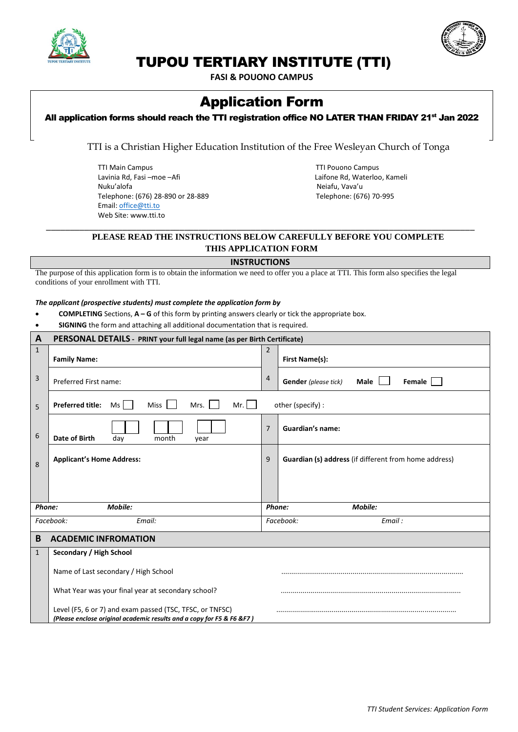



## TUPOU TERTIARY INSTITUTE (TTI)

**FASI & POUONO CAMPUS**

# Application Form

## All application forms should reach the TTI registration office NO LATER THAN FRIDAY 21<sup>st</sup> Jan 2022

TTI is a Christian Higher Education Institution of the Free Wesleyan Church of Tonga

TTI Main Campus<br>
Lavinia Rd, Fasi –moe –Afi dan die aan die see aan die see aan die see aan die see aan die see aan die see aa<br>
Laifone Rd, Waterloo Lavinia Rd, Fasi –moe –Afi Laifone Rd, Waterloo, Kameli<br>Nuku'alofa Laifone Rd, Waterloo, Kameli Telephone: (676) 28-890 or 28-889 Email[: office@tti.to](mailto:office@tti.to)  Web Site: www.tti.to

Neiafu, Vava'u<br>Telephone: (676) 70-995

### **PLEASE READ THE INSTRUCTIONS BELOW CAREFULLY BEFORE YOU COMPLETE THIS APPLICATION FORM**

#### **INSTRUCTIONS**

\_\_\_\_\_\_\_\_\_\_\_\_\_\_\_\_\_\_\_\_\_\_\_\_\_\_\_\_\_\_\_\_\_\_\_\_\_\_\_\_\_\_\_\_\_\_\_\_\_\_\_\_\_\_\_\_\_\_\_\_\_\_\_\_\_\_\_\_\_\_\_\_\_\_\_\_\_\_\_\_\_\_\_\_\_\_\_\_\_\_

The purpose of this application form is to obtain the information we need to offer you a place at TTI. This form also specifies the legal conditions of your enrollment with TTI.

#### *The applicant (prospective students) must complete the application form by*

- **COMPLETING** Sections, **A – G** of this form by printing answers clearly or tick the appropriate box.
- **SIGNING** the form and attaching all additional documentation that is required.

| $\mathbf{A}$        | PERSONAL DETAILS - PRINT your full legal name (as per Birth Certificate)                                                          |                |                                                       |  |
|---------------------|-----------------------------------------------------------------------------------------------------------------------------------|----------------|-------------------------------------------------------|--|
| $\mathbf{1}$        | <b>Family Name:</b>                                                                                                               | 2              | First Name(s):                                        |  |
|                     |                                                                                                                                   |                |                                                       |  |
| 3                   | Preferred First name:                                                                                                             | $\overline{4}$ | <b>Gender</b> (please tick)<br>Female<br>Male         |  |
| 5                   | <b>Preferred title:</b><br>Ms<br>Mr.<br><b>Miss</b><br>Mrs.                                                                       |                | other (specify) :                                     |  |
| 6                   | Date of Birth<br>day<br>month<br>year                                                                                             | 7              | <b>Guardian's name:</b>                               |  |
| 8                   | <b>Applicant's Home Address:</b>                                                                                                  | 9              | Guardian (s) address (if different from home address) |  |
|                     |                                                                                                                                   |                |                                                       |  |
| Mobile:<br>Phone:   |                                                                                                                                   | Phone:         | Mobile:                                               |  |
| Facebook:<br>Email: |                                                                                                                                   |                | Facebook:<br>Email:                                   |  |
| B                   | <b>ACADEMIC INFROMATION</b>                                                                                                       |                |                                                       |  |
| $\mathbf{1}$        | Secondary / High School                                                                                                           |                |                                                       |  |
|                     | Name of Last secondary / High School                                                                                              |                |                                                       |  |
|                     | What Year was your final year at secondary school?                                                                                |                |                                                       |  |
|                     | Level (F5, 6 or 7) and exam passed (TSC, TFSC, or TNFSC)<br>(Please enclose original academic results and a copy for F5 & F6 &F7) |                |                                                       |  |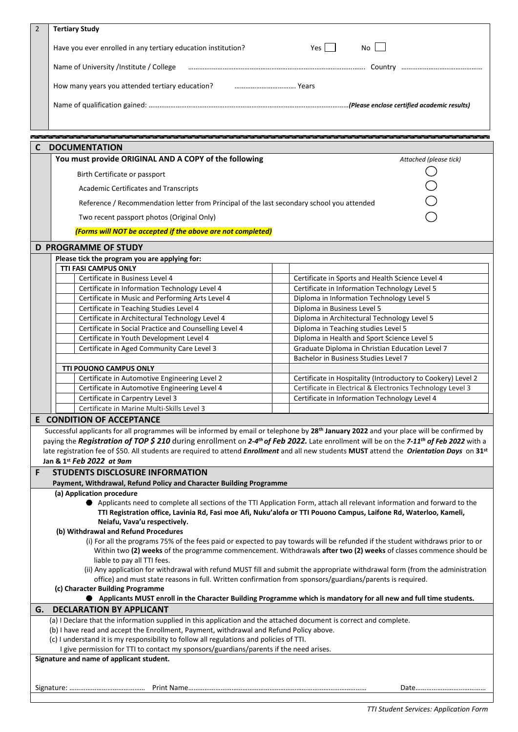| $\overline{2}$                                                                                                      | <b>Tertiary Study</b>                                                                                                                                                                                                                                                                                      |                                                                                                                          |  |  |  |
|---------------------------------------------------------------------------------------------------------------------|------------------------------------------------------------------------------------------------------------------------------------------------------------------------------------------------------------------------------------------------------------------------------------------------------------|--------------------------------------------------------------------------------------------------------------------------|--|--|--|
|                                                                                                                     |                                                                                                                                                                                                                                                                                                            |                                                                                                                          |  |  |  |
|                                                                                                                     | Have you ever enrolled in any tertiary education institution?                                                                                                                                                                                                                                              | Yes I<br>No l                                                                                                            |  |  |  |
|                                                                                                                     | Name of University /Institute / College                                                                                                                                                                                                                                                                    |                                                                                                                          |  |  |  |
|                                                                                                                     | How many years you attended tertiary education?                                                                                                                                                                                                                                                            |                                                                                                                          |  |  |  |
|                                                                                                                     |                                                                                                                                                                                                                                                                                                            |                                                                                                                          |  |  |  |
|                                                                                                                     |                                                                                                                                                                                                                                                                                                            |                                                                                                                          |  |  |  |
|                                                                                                                     | <u> 1989 - 1989 - 1989 - 1989 - 1989 - 1989 - 1989 - 1989 - 1989 - 1989 - 1989 - 1989 - 1989 - 1989 - 1989 - 1989 - 19</u>                                                                                                                                                                                 |                                                                                                                          |  |  |  |
| C                                                                                                                   | <b>DOCUMENTATION</b>                                                                                                                                                                                                                                                                                       |                                                                                                                          |  |  |  |
|                                                                                                                     | You must provide ORIGINAL AND A COPY of the following                                                                                                                                                                                                                                                      | Attached (please tick)                                                                                                   |  |  |  |
|                                                                                                                     | Birth Certificate or passport                                                                                                                                                                                                                                                                              |                                                                                                                          |  |  |  |
|                                                                                                                     | <b>Academic Certificates and Transcripts</b>                                                                                                                                                                                                                                                               |                                                                                                                          |  |  |  |
|                                                                                                                     | Reference / Recommendation letter from Principal of the last secondary school you attended                                                                                                                                                                                                                 |                                                                                                                          |  |  |  |
|                                                                                                                     | Two recent passport photos (Original Only)                                                                                                                                                                                                                                                                 |                                                                                                                          |  |  |  |
|                                                                                                                     |                                                                                                                                                                                                                                                                                                            |                                                                                                                          |  |  |  |
|                                                                                                                     | (Forms will NOT be accepted if the above are not completed)                                                                                                                                                                                                                                                |                                                                                                                          |  |  |  |
|                                                                                                                     | <b>D PROGRAMME OF STUDY</b>                                                                                                                                                                                                                                                                                |                                                                                                                          |  |  |  |
|                                                                                                                     | Please tick the program you are applying for:<br>TTI FASI CAMPUS ONLY                                                                                                                                                                                                                                      |                                                                                                                          |  |  |  |
|                                                                                                                     | Certificate in Business Level 4                                                                                                                                                                                                                                                                            | Certificate in Sports and Health Science Level 4                                                                         |  |  |  |
|                                                                                                                     | Certificate in Information Technology Level 4                                                                                                                                                                                                                                                              | Certificate in Information Technology Level 5                                                                            |  |  |  |
|                                                                                                                     | Certificate in Music and Performing Arts Level 4                                                                                                                                                                                                                                                           | Diploma in Information Technology Level 5                                                                                |  |  |  |
|                                                                                                                     | Certificate in Teaching Studies Level 4                                                                                                                                                                                                                                                                    | Diploma in Business Level 5                                                                                              |  |  |  |
|                                                                                                                     | Certificate in Architectural Technology Level 4                                                                                                                                                                                                                                                            | Diploma in Architectural Technology Level 5                                                                              |  |  |  |
|                                                                                                                     | Certificate in Social Practice and Counselling Level 4                                                                                                                                                                                                                                                     | Diploma in Teaching studies Level 5                                                                                      |  |  |  |
|                                                                                                                     | Certificate in Youth Development Level 4                                                                                                                                                                                                                                                                   | Diploma in Health and Sport Science Level 5                                                                              |  |  |  |
|                                                                                                                     | Certificate in Aged Community Care Level 3                                                                                                                                                                                                                                                                 | Graduate Diploma in Christian Education Level 7                                                                          |  |  |  |
|                                                                                                                     |                                                                                                                                                                                                                                                                                                            | Bachelor in Business Studies Level 7                                                                                     |  |  |  |
|                                                                                                                     | <b>TTI POUONO CAMPUS ONLY</b>                                                                                                                                                                                                                                                                              |                                                                                                                          |  |  |  |
|                                                                                                                     | Certificate in Automotive Engineering Level 2                                                                                                                                                                                                                                                              | Certificate in Hospitality (Introductory to Cookery) Level 2                                                             |  |  |  |
|                                                                                                                     | Certificate in Automotive Engineering Level 4                                                                                                                                                                                                                                                              | Certificate in Electrical & Electronics Technology Level 3                                                               |  |  |  |
|                                                                                                                     | Certificate in Carpentry Level 3                                                                                                                                                                                                                                                                           | Certificate in Information Technology Level 4                                                                            |  |  |  |
|                                                                                                                     | Certificate in Marine Multi-Skills Level 3<br><b>CONDITION OF ACCEPTANCE</b>                                                                                                                                                                                                                               |                                                                                                                          |  |  |  |
| E                                                                                                                   |                                                                                                                                                                                                                                                                                                            |                                                                                                                          |  |  |  |
|                                                                                                                     | Successful applicants for all programmes will be informed by email or telephone by 28 <sup>th</sup> January 2022 and your place will be confirmed by<br>paying the Registration of TOP \$ 210 during enrollment on 2-4th of Feb 2022. Late enrollment will be on the 7-11 <sup>th</sup> of Feb 2022 with a |                                                                                                                          |  |  |  |
|                                                                                                                     | late registration fee of \$50. All students are required to attend <i>Enrollment</i> and all new students MUST attend the <i>Orientation Days</i> on 31 <sup>st</sup>                                                                                                                                      |                                                                                                                          |  |  |  |
|                                                                                                                     | Jan & 1st Feb 2022 at 9am                                                                                                                                                                                                                                                                                  |                                                                                                                          |  |  |  |
| F                                                                                                                   | <b>STUDENTS DISCLOSURE INFORMATION</b>                                                                                                                                                                                                                                                                     |                                                                                                                          |  |  |  |
|                                                                                                                     | Payment, Withdrawal, Refund Policy and Character Building Programme                                                                                                                                                                                                                                        |                                                                                                                          |  |  |  |
|                                                                                                                     | (a) Application procedure                                                                                                                                                                                                                                                                                  |                                                                                                                          |  |  |  |
|                                                                                                                     |                                                                                                                                                                                                                                                                                                            | Applicants need to complete all sections of the TTI Application Form, attach all relevant information and forward to the |  |  |  |
|                                                                                                                     | TTI Registration office, Lavinia Rd, Fasi moe Afi, Nuku'alofa or TTI Pouono Campus, Laifone Rd, Waterloo, Kameli,                                                                                                                                                                                          |                                                                                                                          |  |  |  |
|                                                                                                                     | Neiafu, Vava'u respectively.                                                                                                                                                                                                                                                                               |                                                                                                                          |  |  |  |
|                                                                                                                     | (b) Withdrawal and Refund Procedures                                                                                                                                                                                                                                                                       |                                                                                                                          |  |  |  |
|                                                                                                                     | (i) For all the programs 75% of the fees paid or expected to pay towards will be refunded if the student withdraws prior to or<br>Within two (2) weeks of the programme commencement. Withdrawals after two (2) weeks of classes commence should be                                                        |                                                                                                                          |  |  |  |
|                                                                                                                     | liable to pay all TTI fees.                                                                                                                                                                                                                                                                                |                                                                                                                          |  |  |  |
|                                                                                                                     | (ii) Any application for withdrawal with refund MUST fill and submit the appropriate withdrawal form (from the administration                                                                                                                                                                              |                                                                                                                          |  |  |  |
|                                                                                                                     | office) and must state reasons in full. Written confirmation from sponsors/guardians/parents is required.                                                                                                                                                                                                  |                                                                                                                          |  |  |  |
| (c) Character Building Programme                                                                                    |                                                                                                                                                                                                                                                                                                            |                                                                                                                          |  |  |  |
| ● Applicants MUST enroll in the Character Building Programme which is mandatory for all new and full time students. |                                                                                                                                                                                                                                                                                                            |                                                                                                                          |  |  |  |
| G.                                                                                                                  | <b>DECLARATION BY APPLICANT</b>                                                                                                                                                                                                                                                                            |                                                                                                                          |  |  |  |
|                                                                                                                     | (a) I Declare that the information supplied in this application and the attached document is correct and complete.<br>(b) I have read and accept the Enrollment, Payment, withdrawal and Refund Policy above.                                                                                              |                                                                                                                          |  |  |  |
|                                                                                                                     | (c) I understand it is my responsibility to follow all regulations and policies of TTI.                                                                                                                                                                                                                    |                                                                                                                          |  |  |  |
|                                                                                                                     | I give permission for TTI to contact my sponsors/guardians/parents if the need arises.                                                                                                                                                                                                                     |                                                                                                                          |  |  |  |
| Signature and name of applicant student.                                                                            |                                                                                                                                                                                                                                                                                                            |                                                                                                                          |  |  |  |
|                                                                                                                     |                                                                                                                                                                                                                                                                                                            |                                                                                                                          |  |  |  |
|                                                                                                                     |                                                                                                                                                                                                                                                                                                            |                                                                                                                          |  |  |  |
|                                                                                                                     |                                                                                                                                                                                                                                                                                                            |                                                                                                                          |  |  |  |